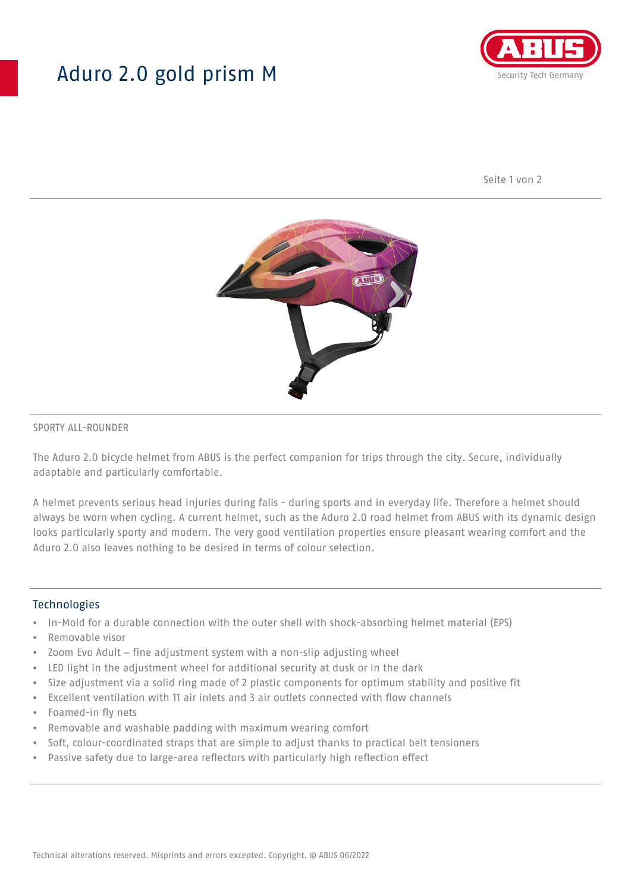## Aduro 2.0 gold prism M



Seite 1 von 2



#### SPORTY ALL-ROUNDER

The Aduro 2.0 bicycle helmet from ABUS is the perfect companion for trips through the city. Secure, individually adaptable and particularly comfortable.

A helmet prevents serious head injuries during falls - during sports and in everyday life. Therefore a helmet should always be worn when cycling. A current helmet, such as the Aduro 2.0 road helmet from ABUS with its dynamic design looks particularly sporty and modern. The very good ventilation properties ensure pleasant wearing comfort and the Aduro 2.0 also leaves nothing to be desired in terms of colour selection.

#### **Technologies**

- In-Mold for a durable connection with the outer shell with shock-absorbing helmet material (EPS)
- Removable visor
- Zoom Evo Adult fine adjustment system with a non-slip adjusting wheel
- LED light in the adjustment wheel for additional security at dusk or in the dark
- Size adjustment via a solid ring made of 2 plastic components for optimum stability and positive fit
- Excellent ventilation with 11 air inlets and 3 air outlets connected with flow channels
- Foamed-in fly nets
- Removable and washable padding with maximum wearing comfort
- Soft, colour-coordinated straps that are simple to adjust thanks to practical belt tensioners
- Passive safety due to large-area reflectors with particularly high reflection effect